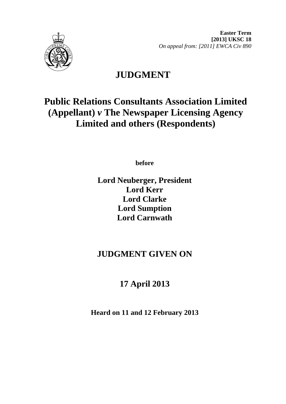

**Easter Term [2013] UKSC 18**  *On appeal from: [2011] EWCA Civ 890* 

# **JUDGMENT**

# **Public Relations Consultants Association Limited (Appellant)** *v* **The Newspaper Licensing Agency Limited and others (Respondents)**

**before** 

**Lord Neuberger, President Lord Kerr Lord Clarke Lord Sumption Lord Carnwath**

## **JUDGMENT GIVEN ON**

## **17 April 2013**

**Heard on 11 and 12 February 2013**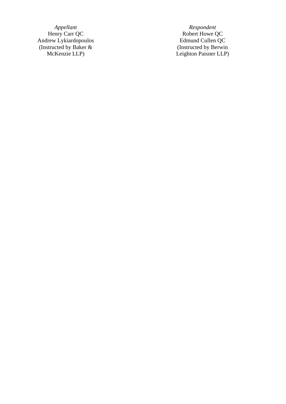Andrew Lykiardopoulos Edmund Cullen QC (Instructed by Baker & (Instructed by Berwin

*Appellant Respondent*<br> **Respondent**<br> **Robert Howe QC** Henry Carr QC Robert Howe QC Manuel By Baker & (Instructed by Baker & (Instructed by Berwin)<br>McKenzie LLP) Leighton Paisner LLP)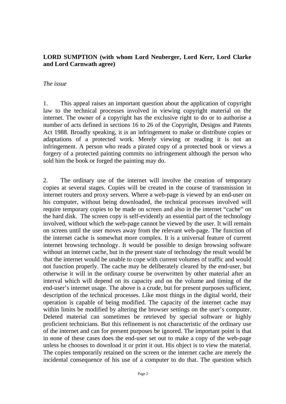#### **LORD SUMPTION (with whom Lord Neuberger, Lord Kerr, Lord Clarke and Lord Carnwath agree)**

#### *The issue*

1. This appeal raises an important question about the application of copyright law to the technical processes involved in viewing copyright material on the internet. The owner of a copyright has the exclusive right to do or to authorise a number of acts defined in sections 16 to 26 of the Copyright, Designs and Patents Act 1988. Broadly speaking, it is an infringement to make or distribute copies or adaptations of a protected work. Merely viewing or reading it is not an infringement. A person who reads a pirated copy of a protected book or views a forgery of a protected painting commits no infringement although the person who sold him the book or forged the painting may do.

2. The ordinary use of the internet will involve the creation of temporary copies at several stages. Copies will be created in the course of transmission in internet routers and proxy servers. Where a web-page is viewed by an end-user on his computer, without being downloaded, the technical processes involved will require temporary copies to be made on screen and also in the internet "cache" on the hard disk. The screen copy is self-evidently an essential part of the technology involved, without which the web-page cannot be viewed by the user. It will remain on screen until the user moves away from the relevant web-page. The function of the internet cache is somewhat more complex. It is a universal feature of current internet browsing technology. It would be possible to design browsing software without an internet cache, but in the present state of technology the result would be that the internet would be unable to cope with current volumes of traffic and would not function properly. The cache may be deliberately cleared by the end-user, but otherwise it will in the ordinary course be overwritten by other material after an interval which will depend on its capacity and on the volume and timing of the end-user's internet usage. The above is a crude, but for present purposes sufficient, description of the technical processes. Like most things in the digital world, their operation is capable of being modified. The capacity of the internet cache may within limits be modified by altering the browser settings on the user's computer. Deleted material can sometimes be retrieved by special software or highly proficient technicians. But this refinement is not characteristic of the ordinary use of the internet and can for present purposes be ignored. The important point is that in none of these cases does the end-user set out to make a copy of the web-page unless he chooses to download it or print it out. His object is to view the material. The copies temporarily retained on the screen or the internet cache are merely the incidental consequence of his use of a computer to do that. The question which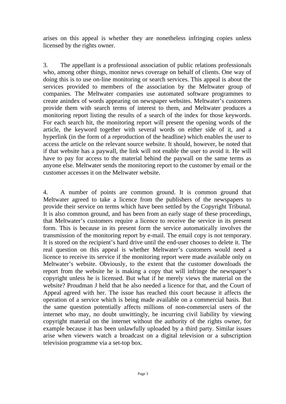arises on this appeal is whether they are nonetheless infringing copies unless licensed by the rights owner.

3. The appellant is a professional association of public relations professionals who, among other things, monitor news coverage on behalf of clients. One way of doing this is to use on-line monitoring or search services. This appeal is about the services provided to members of the association by the Meltwater group of companies. The Meltwater companies use automated software programmes to create anindex of words appearing on newspaper websites. Meltwater's customers provide them with search terms of interest to them, and Meltwater produces a monitoring report listing the results of a search of the index for those keywords. For each search hit, the monitoring report will present the opening words of the article, the keyword together with several words on either side of it, and a hyperlink (in the form of a reproduction of the headline) which enables the user to access the article on the relevant source website. It should, however, be noted that if that website has a paywall, the link will not enable the user to avoid it. He will have to pay for access to the material behind the paywall on the same terms as anyone else. Meltwater sends the monitoring report to the customer by email or the customer accesses it on the Meltwater website.

4. A number of points are common ground. It is common ground that Meltwater agreed to take a licence from the publishers of the newspapers to provide their service on terms which have been settled by the Copyright Tribunal. It is also common ground, and has been from an early stage of these proceedings, that Meltwater's customers require a licence to receive the service in its present form. This is because in its present form the service automatically involves the transmission of the monitoring report by e-mail. The email copy is not temporary. It is stored on the recipient's hard drive until the end-user chooses to delete it. The real question on this appeal is whether Meltwater's customers would need a licence to receive its service if the monitoring report were made available only on Meltwater's website. Obviously, to the extent that the customer downloads the report from the website he is making a copy that will infringe the newspaper's copyright unless he is licensed. But what if he merely views the material on the website? Proudman J held that he also needed a licence for that, and the Court of Appeal agreed with her. The issue has reached this court because it affects the operation of a service which is being made available on a commercial basis. But the same question potentially affects millions of non-commercial users of the internet who may, no doubt unwittingly, be incurring civil liability by viewing copyright material on the internet without the authority of the rights owner, for example because it has been unlawfully uploaded by a third party. Similar issues arise when viewers watch a broadcast on a digital television or a subscription television programme via a set-top box.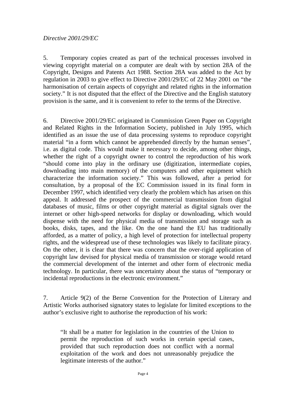#### *Directive 2001/29/EC*

5. Temporary copies created as part of the technical processes involved in viewing copyright material on a computer are dealt with by section 28A of the Copyright, Designs and Patents Act 1988. Section 28A was added to the Act by regulation in 2003 to give effect to Directive 2001/29/EC of 22 May 2001 on "the harmonisation of certain aspects of copyright and related rights in the information society." It is not disputed that the effect of the Directive and the English statutory provision is the same, and it is convenient to refer to the terms of the Directive.

6. Directive 2001/29/EC originated in Commission Green Paper on Copyright and Related Rights in the Information Society, published in July 1995, which identified as an issue the use of data processing systems to reproduce copyright material "in a form which cannot be apprehended directly by the human senses", i.e. as digital code. This would make it necessary to decide, among other things, whether the right of a copyright owner to control the reproduction of his work "should come into play in the ordinary use (digitization, intermediate copies, downloading into main memory) of the computers and other equipment which characterize the information society." This was followed, after a period for consultation, by a proposal of the EC Commission issued in its final form in December 1997, which identified very clearly the problem which has arisen on this appeal. It addressed the prospect of the commercial transmission from digital databases of music, films or other copyright material as digital signals over the internet or other high-speed networks for display or downloading, which would dispense with the need for physical media of transmission and storage such as books, disks, tapes, and the like. On the one hand the EU has traditionally afforded, as a matter of policy, a high level of protection for intellectual property rights, and the widespread use of these technologies was likely to facilitate piracy. On the other, it is clear that there was concern that the over-rigid application of copyright law devised for physical media of transmission or storage would retard the commercial development of the internet and other form of electronic media technology. In particular, there was uncertainty about the status of "temporary or incidental reproductions in the electronic environment."

7. Article 9(2) of the Berne Convention for the Protection of Literary and Artistic Works authorised signatory states to legislate for limited exceptions to the author's exclusive right to authorise the reproduction of his work:

"It shall be a matter for legislation in the countries of the Union to permit the reproduction of such works in certain special cases, provided that such reproduction does not conflict with a normal exploitation of the work and does not unreasonably prejudice the legitimate interests of the author."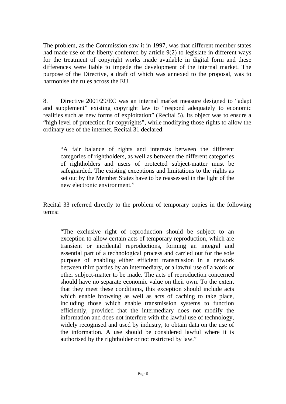The problem, as the Commission saw it in 1997, was that different member states had made use of the liberty conferred by article 9(2) to legislate in different ways for the treatment of copyright works made available in digital form and these differences were liable to impede the development of the internal market. The purpose of the Directive, a draft of which was annexed to the proposal, was to harmonise the rules across the EU.

8. Directive 2001/29/EC was an internal market measure designed to "adapt and supplement" existing copyright law to "respond adequately to economic realities such as new forms of exploitation" (Recital 5). Its object was to ensure a "high level of protection for copyrights", while modifying those rights to allow the ordinary use of the internet. Recital 31 declared:

"A fair balance of rights and interests between the different categories of rightholders, as well as between the different categories of rightholders and users of protected subject-matter must be safeguarded. The existing exceptions and limitations to the rights as set out by the Member States have to be reassessed in the light of the new electronic environment."

Recital 33 referred directly to the problem of temporary copies in the following terms:

"The exclusive right of reproduction should be subject to an exception to allow certain acts of temporary reproduction, which are transient or incidental reproductions, forming an integral and essential part of a technological process and carried out for the sole purpose of enabling either efficient transmission in a network between third parties by an intermediary, or a lawful use of a work or other subject-matter to be made. The acts of reproduction concerned should have no separate economic value on their own. To the extent that they meet these conditions, this exception should include acts which enable browsing as well as acts of caching to take place, including those which enable transmission systems to function efficiently, provided that the intermediary does not modify the information and does not interfere with the lawful use of technology, widely recognised and used by industry, to obtain data on the use of the information. A use should be considered lawful where it is authorised by the rightholder or not restricted by law."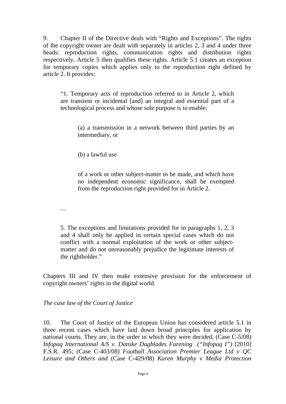9. Chapter II of the Directive deals with "Rights and Exceptions". The rights of the copyright owner are dealt with separately in articles 2, 3 and 4 under three heads: reproduction rights, communication rights and distribution rights respectively. Article 5 then qualifies these rights. Article 5.1 creates an exception for temporary copies which applies only to the reproduction right defined by article 2. It provides:

"1. Temporary acts of reproduction referred to in Article 2, which are transient or incidental [and] an integral and essential part of a technological process and whose sole purpose is to enable:

(a) a transmission in a network between third parties by an intermediary, or

(b) a lawful use

of a work or other subject-matter to be made, and which have no independent economic significance, shall be exempted from the reproduction right provided for in Article 2.

...

5. The exceptions and limitations provided for in paragraphs 1, 2, 3 and 4 shall only be applied in certain special cases which do not conflict with a normal exploitation of the work or other subjectmatter and do not unreasonably prejudice the legitimate interests of the rightholder."

Chapters III and IV then make extensive provision for the enforcement of copyright owners' rights in the digital world.

*The case law of the Court of Justice* 

10. The Court of Justice of the European Union has considered article 5.1 in three recent cases which have laid down broad principles for application by national courts. They are, in the order in which they were decided, (Case C-5/08) *Infopaq International A/S v. Danske Dagblades Forening ("Infopaq I")* [2010] F.S.R. 495; (Case C-403/08) *Football Association Premier League Ltd v QC Leisure and Others and* (Case C-429/08) *Karen Murphy v Media Protection*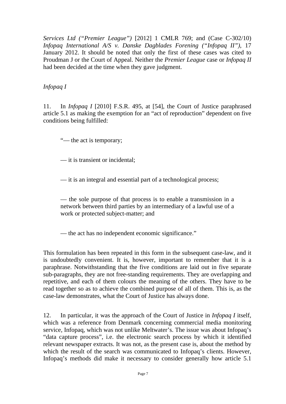*Services Ltd ("Premier League")* [2012] 1 CMLR 769; and (Case C-302/10) *Infopaq International A/S v. Danske Dagblades Forening ("Infopaq II")*, 17 January 2012. It should be noted that only the first of these cases was cited to Proudman J or the Court of Appeal. Neither the *Premier League* case or *Infopaq II*  had been decided at the time when they gave judgment.

## *Infopaq I*

11. In *Infopaq I* [2010] F.S.R. 495, at [54], the Court of Justice paraphrased article 5.1 as making the exemption for an "act of reproduction" dependent on five conditions being fulfilled:

"— the act is temporary;

— it is transient or incidental;

— it is an integral and essential part of a technological process;

— the sole purpose of that process is to enable a transmission in a network between third parties by an intermediary of a lawful use of a work or protected subject-matter; and

— the act has no independent economic significance."

This formulation has been repeated in this form in the subsequent case-law, and it is undoubtedly convenient. It is, however, important to remember that it is a paraphrase. Notwithstanding that the five conditions are laid out in five separate sub-paragraphs, they are not free-standing requirements. They are overlapping and repetitive, and each of them colours the meaning of the others. They have to be read together so as to achieve the combined purpose of all of them. This is, as the case-law demonstrates, what the Court of Justice has always done.

12. In particular, it was the approach of the Court of Justice in *Infopaq I* itself, which was a reference from Denmark concerning commercial media monitoring service, Infopaq, which was not unlike Meltwater's. The issue was about Infopaq's "data capture process", i.e. the electronic search process by which it identified relevant newspaper extracts. It was not, as the present case is, about the method by which the result of the search was communicated to Infopaq's clients. However, Infopaq's methods did make it necessary to consider generally how article 5.1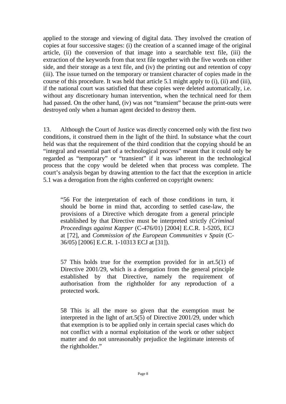applied to the storage and viewing of digital data. They involved the creation of copies at four successive stages: (i) the creation of a scanned image of the original article, (ii) the conversion of that image into a searchable text file, (iii) the extraction of the keywords from that text file together with the five words on either side, and their storage as a text file, and (iv) the printing out and retention of copy (iii). The issue turned on the temporary or transient character of copies made in the course of this procedure. It was held that article 5.1 might apply to (i), (ii) and (iii), if the national court was satisfied that these copies were deleted automatically, i.e. without any discretionary human intervention, when the technical need for them had passed. On the other hand, (iv) was not "transient" because the print-outs were destroyed only when a human agent decided to destroy them.

13. Although the Court of Justice was directly concerned only with the first two conditions, it construed them in the light of the third. In substance what the court held was that the requirement of the third condition that the copying should be an "integral and essential part of a technological process" meant that it could only be regarded as "temporary" or "transient" if it was inherent in the technological process that the copy would be deleted when that process was complete. The court's analysis began by drawing attention to the fact that the exception in article 5.1 was a derogation from the rights conferred on copyright owners:

"56 For the interpretation of each of those conditions in turn, it should be borne in mind that, according to settled case-law, the provisions of a Directive which derogate from a general principle established by that Directive must be interpreted strictly *(Criminal Proceedings against Kapper* (C-476/01) [2004] E.C.R. 1-5205, ECJ at [72], and *Commission of the European Communities v Spain* (C-36/05) [2006] E.C.R. 1-10313 ECJ at [31]).

57 This holds true for the exemption provided for in art.5(1) of Directive 2001/29, which is a derogation from the general principle established by that Directive, namely the requirement of authorisation from the rightholder for any reproduction of a protected work.

58 This is all the more so given that the exemption must be interpreted in the light of art.5(5) of Directive 2001/29, under which that exemption is to be applied only in certain special cases which do not conflict with a normal exploitation of the work or other subject matter and do not unreasonably prejudice the legitimate interests of the rightholder."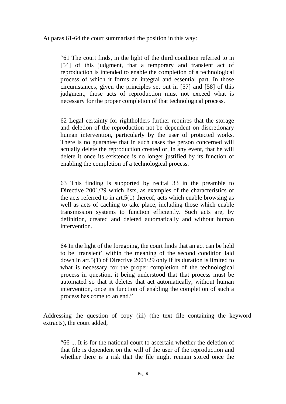At paras 61-64 the court summarised the position in this way:

"61 The court finds, in the light of the third condition referred to in [54] of this judgment, that a temporary and transient act of reproduction is intended to enable the completion of a technological process of which it forms an integral and essential part. In those circumstances, given the principles set out in [57] and [58] of this judgment, those acts of reproduction must not exceed what is necessary for the proper completion of that technological process.

62 Legal certainty for rightholders further requires that the storage and deletion of the reproduction not be dependent on discretionary human intervention, particularly by the user of protected works. There is no guarantee that in such cases the person concerned will actually delete the reproduction created or, in any event, that he will delete it once its existence is no longer justified by its function of enabling the completion of a technological process.

63 This finding is supported by recital 33 in the preamble to Directive 2001/29 which lists, as examples of the characteristics of the acts referred to in art.  $5(1)$  thereof, acts which enable browsing as well as acts of caching to take place, including those which enable transmission systems to function efficiently. Such acts are, by definition, created and deleted automatically and without human intervention.

64 In the light of the foregoing, the court finds that an act can be held to be 'transient' within the meaning of the second condition laid down in art.5(1) of Directive 2001/29 only if its duration is limited to what is necessary for the proper completion of the technological process in question, it being understood that that process must be automated so that it deletes that act automatically, without human intervention, once its function of enabling the completion of such a process has come to an end."

Addressing the question of copy (iii) (the text file containing the keyword extracts), the court added,

"66 ... It is for the national court to ascertain whether the deletion of that file is dependent on the will of the user of the reproduction and whether there is a risk that the file might remain stored once the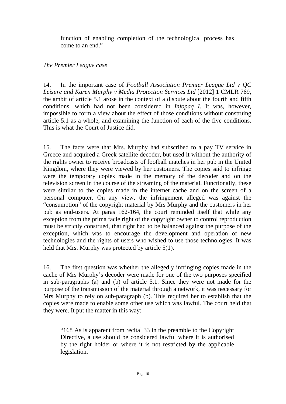function of enabling completion of the technological process has come to an end."

## *The Premier League case*

14. In the important case of *Football Association Premier League Ltd v QC Leisure and Karen Murphy v Media Protection Services Ltd* [2012] 1 CMLR 769, the ambit of article 5.1 arose in the context of a dispute about the fourth and fifth conditions, which had not been considered in *Infopaq I*. It was, however, impossible to form a view about the effect of those conditions without construing article 5.1 as a whole, and examining the function of each of the five conditions. This is what the Court of Justice did.

15. The facts were that Mrs. Murphy had subscribed to a pay TV service in Greece and acquired a Greek satellite decoder, but used it without the authority of the rights owner to receive broadcasts of football matches in her pub in the United Kingdom, where they were viewed by her customers. The copies said to infringe were the temporary copies made in the memory of the decoder and on the television screen in the course of the streaming of the material. Functionally, these were similar to the copies made in the internet cache and on the screen of a personal computer. On any view, the infringement alleged was against the "consumption" of the copyright material by Mrs Murphy and the customers in her pub as end-users. At paras 162-164, the court reminded itself that while any exception from the prima facie right of the copyright owner to control reproduction must be strictly construed, that right had to be balanced against the purpose of the exception, which was to encourage the development and operation of new technologies and the rights of users who wished to use those technologies. It was held that Mrs. Murphy was protected by article 5(1).

16. The first question was whether the allegedly infringing copies made in the cache of Mrs Murphy's decoder were made for one of the two purposes specified in sub-paragraphs (a) and (b) of article 5.1. Since they were not made for the purpose of the transmission of the material through a network, it was necessary for Mrs Murphy to rely on sub-paragraph (b). This required her to establish that the copies were made to enable some other use which was lawful. The court held that they were. It put the matter in this way:

"168 As is apparent from recital 33 in the preamble to the Copyright Directive, a use should be considered lawful where it is authorised by the right holder or where it is not restricted by the applicable legislation.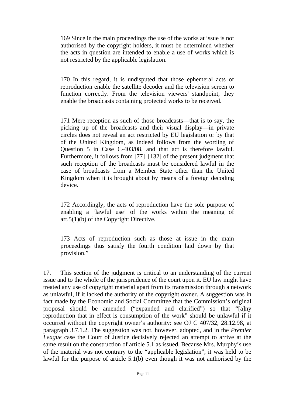169 Since in the main proceedings the use of the works at issue is not authorised by the copyright holders, it must be determined whether the acts in question are intended to enable a use of works which is not restricted by the applicable legislation.

170 In this regard, it is undisputed that those ephemeral acts of reproduction enable the satellite decoder and the television screen to function correctly. From the television viewers' standpoint, they enable the broadcasts containing protected works to be received.

171 Mere reception as such of those broadcasts—that is to say, the picking up of the broadcasts and their visual display—in private circles does not reveal an act restricted by EU legislation or by that of the United Kingdom, as indeed follows from the wording of Question 5 in Case C-403/08, and that act is therefore lawful. Furthermore, it follows from [77]–[132] of the present judgment that such reception of the broadcasts must be considered lawful in the case of broadcasts from a Member State other than the United Kingdom when it is brought about by means of a foreign decoding device.

172 Accordingly, the acts of reproduction have the sole purpose of enabling a 'lawful use' of the works within the meaning of art.5(1)(b) of the Copyright Directive.

173 Acts of reproduction such as those at issue in the main proceedings thus satisfy the fourth condition laid down by that provision."

17. This section of the judgment is critical to an understanding of the current issue and to the whole of the jurisprudence of the court upon it. EU law might have treated any use of copyright material apart from its transmission through a network as unlawful, if it lacked the authority of the copyright owner. A suggestion was in fact made by the Economic and Social Committee that the Commission's original proposal should be amended ("expanded and clarified") so that "[a]ny reproduction that in effect is consumption of the work" should be unlawful if it occurred without the copyright owner's authority: see OJ C 407/32, 28.12.98, at paragraph 3.7.1.2. The suggestion was not, however, adopted, and in the *Premier League* case the Court of Justice decisively rejected an attempt to arrive at the same result on the construction of article 5.1 as issued. Because Mrs. Murphy's use of the material was not contrary to the "applicable legislation", it was held to be lawful for the purpose of article 5.1(b) even though it was not authorised by the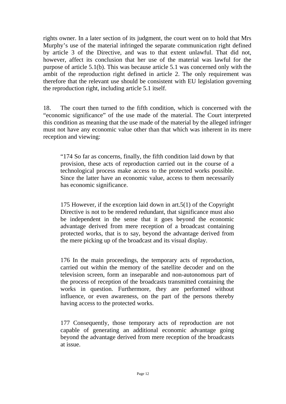rights owner. In a later section of its judgment, the court went on to hold that Mrs Murphy's use of the material infringed the separate communication right defined by article 3 of the Directive, and was to that extent unlawful. That did not, however, affect its conclusion that her use of the material was lawful for the purpose of article 5.1(b). This was because article 5.1 was concerned only with the ambit of the reproduction right defined in article 2. The only requirement was therefore that the relevant use should be consistent with EU legislation governing the reproduction right, including article 5.1 itself.

18. The court then turned to the fifth condition, which is concerned with the "economic significance" of the use made of the material. The Court interpreted this condition as meaning that the use made of the material by the alleged infringer must not have any economic value other than that which was inherent in its mere reception and viewing:

"174 So far as concerns, finally, the fifth condition laid down by that provision, these acts of reproduction carried out in the course of a technological process make access to the protected works possible. Since the latter have an economic value, access to them necessarily has economic significance.

175 However, if the exception laid down in art.5(1) of the Copyright Directive is not to be rendered redundant, that significance must also be independent in the sense that it goes beyond the economic advantage derived from mere reception of a broadcast containing protected works, that is to say, beyond the advantage derived from the mere picking up of the broadcast and its visual display.

176 In the main proceedings, the temporary acts of reproduction, carried out within the memory of the satellite decoder and on the television screen, form an inseparable and non-autonomous part of the process of reception of the broadcasts transmitted containing the works in question. Furthermore, they are performed without influence, or even awareness, on the part of the persons thereby having access to the protected works.

177 Consequently, those temporary acts of reproduction are not capable of generating an additional economic advantage going beyond the advantage derived from mere reception of the broadcasts at issue.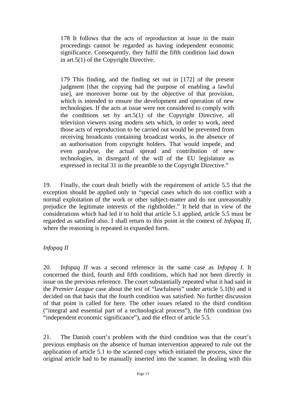178 It follows that the acts of reproduction at issue in the main proceedings cannot be regarded as having independent economic significance. Consequently, they fulfil the fifth condition laid down in art.5(1) of the Copyright Directive.

179 This finding, and the finding set out in [172] of the present judgment [that the copying had the purpose of enabling a lawful use], are moreover borne out by the objective of that provision, which is intended to ensure the development and operation of new technologies. If the acts at issue were not considered to comply with the conditions set by art.5(1) of the Copyright Directive, all television viewers using modern sets which, in order to work, need those acts of reproduction to be carried out would be prevented from receiving broadcasts containing broadcast works, in the absence of an authorisation from copyright holders. That would impede, and even paralyse, the actual spread and contribution of new technologies, in disregard of the will of the EU legislature as expressed in recital 31 in the preamble to the Copyright Directive."

19. Finally, the court dealt briefly with the requirement of article 5.5 that the exception should be applied only in "special cases which do not conflict with a normal exploitation of the work or other subject-matter and do not unreasonably prejudice the legitimate interests of the rightholder." It held that in view of the considerations which had led it to hold that article 5.1 applied, article 5.5 must be regarded as satisfied also. I shall return to this point in the context of *Infopaq II*, where the reasoning is repeated in expanded form.

## *Infopaq II*

20. *Infopaq II* was a second reference in the same case as *Infopaq I*. It concerned the third, fourth and fifth conditions, which had not been directly in issue on the previous reference. The court substantially repeated what it had said in the *Premier League* case about the test of "lawfulness" under article 5.1(b) and it decided on that basis that the fourth condition was satisfied. No further discussion of that point is called for here. The other issues related to the third condition ("integral and essential part of a technological process"), the fifth condition (no "independent economic significance"), and the effect of article 5.5.

21. The Danish court's problem with the third condition was that the court's previous emphasis on the absence of human intervention appeared to rule out the application of article 5.1 to the scanned copy which initiated the process, since the original article had to be manually inserted into the scanner. In dealing with this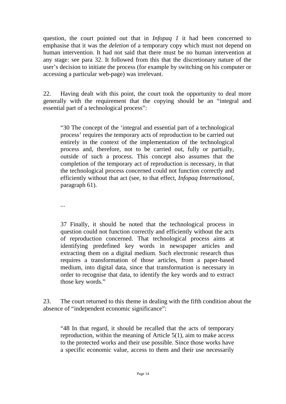question, the court pointed out that in *Infopaq 1* it had been concerned to emphasise that it was the *deletion* of a temporary copy which must not depend on human intervention. It had not said that there must be no human intervention at any stage: see para 32. It followed from this that the discretionary nature of the user's decision to initiate the process (for example by switching on his computer or accessing a particular web-page) was irrelevant.

22. Having dealt with this point, the court took the opportunity to deal more generally with the requirement that the copying should be an "integral and essential part of a technological process":

"30 The concept of the 'integral and essential part of a technological process' requires the temporary acts of reproduction to be carried out entirely in the context of the implementation of the technological process and, therefore, not to be carried out, fully or partially, outside of such a process. This concept also assumes that the completion of the temporary act of reproduction is necessary, in that the technological process concerned could not function correctly and efficiently without that act (see, to that effect, *Infopaq International,*  paragraph 61).

...

37 Finally, it should be noted that the technological process in question could not function correctly and efficiently without the acts of reproduction concerned. That technological process aims at identifying predefined key words in newspaper articles and extracting them on a digital medium. Such electronic research thus requires a transformation of those articles, from a paper-based medium, into digital data, since that transformation is necessary in order to recognise that data, to identify the key words and to extract those key words."

23. The court returned to this theme in dealing with the fifth condition about the absence of "independent economic significance":

"48 In that regard, it should be recalled that the acts of temporary reproduction, within the meaning of Article 5(1), aim to make access to the protected works and their use possible. Since those works have a specific economic value, access to them and their use necessarily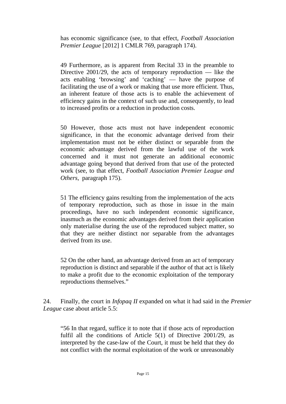has economic significance (see, to that effect, *Football Association Premier League* [2012] 1 CMLR 769, paragraph 174).

49 Furthermore, as is apparent from Recital 33 in the preamble to Directive 2001/29, the acts of temporary reproduction — like the acts enabling 'browsing' and 'caching' — have the purpose of facilitating the use of a work or making that use more efficient. Thus, an inherent feature of those acts is to enable the achievement of efficiency gains in the context of such use and, consequently, to lead to increased profits or a reduction in production costs.

50 However, those acts must not have independent economic significance, in that the economic advantage derived from their implementation must not be either distinct or separable from the economic advantage derived from the lawful use of the work concerned and it must not generate an additional economic advantage going beyond that derived from that use of the protected work (see, to that effect, *Football Association Premier League and Others,* paragraph 175).

51 The efficiency gains resulting from the implementation of the acts of temporary reproduction, such as those in issue in the main proceedings, have no such independent economic significance, inasmuch as the economic advantages derived from their application only materialise during the use of the reproduced subject matter, so that they are neither distinct nor separable from the advantages derived from its use.

52 On the other hand, an advantage derived from an act of temporary reproduction is distinct and separable if the author of that act is likely to make a profit due to the economic exploitation of the temporary reproductions themselves."

24. Finally, the court in *Infopaq II* expanded on what it had said in the *Premier League* case about article 5.5:

"56 In that regard, suffice it to note that if those acts of reproduction fulfil all the conditions of Article 5(1) of Directive 2001/29, as interpreted by the case-law of the Court, it must be held that they do not conflict with the normal exploitation of the work or unreasonably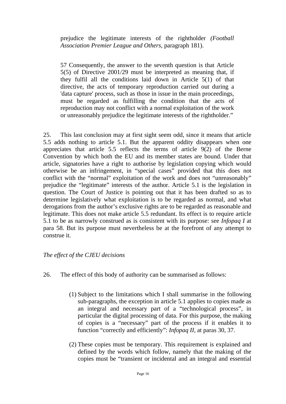prejudice the legitimate interests of the rightholder *(Football Association Premier League and Others,* paragraph 181).

57 Consequently, the answer to the seventh question is that Article 5(5) of Directive 2001/29 must be interpreted as meaning that, if they fulfil all the conditions laid down in Article 5(1) of that directive, the acts of temporary reproduction carried out during a 'data capture' process, such as those in issue in the main proceedings, must be regarded as fulfilling the condition that the acts of reproduction may not conflict with a normal exploitation of the work or unreasonably prejudice the legitimate interests of the rightholder."

25. This last conclusion may at first sight seem odd, since it means that article 5.5 adds nothing to article 5.1. But the apparent oddity disappears when one appreciates that article 5.5 reflects the terms of article 9(2) of the Berne Convention by which both the EU and its member states are bound. Under that article, signatories have a right to authorise by legislation copying which would otherwise be an infringement, in "special cases" provided that this does not conflict with the "normal" exploitation of the work and does not "unreasonably" prejudice the "legitimate" interests of the author. Article 5.1 is the legislation in question. The Court of Justice is pointing out that it has been drafted so as to determine legislatively what exploitation is to be regarded as normal, and what derogations from the author's exclusive rights are to be regarded as reasonable and legitimate. This does not make article 5.5 redundant. Its effect is to require article 5.1 to be as narrowly construed as is consistent with its purpose: see *Infopaq I* at para 58. But its purpose must nevertheless be at the forefront of any attempt to construe it.

## *The effect of the CJEU decisions*

- 26. The effect of this body of authority can be summarised as follows:
	- (1) Subject to the limitations which I shall summarise in the following sub-paragraphs, the exception in article 5.1 applies to copies made as an integral and necessary part of a "technological process", in particular the digital processing of data. For this purpose, the making of copies is a "necessary" part of the process if it enables it to function "correctly and efficiently": *Infopaq II*, at paras 30, 37.
	- (2) These copies must be temporary. This requirement is explained and defined by the words which follow, namely that the making of the copies must be "transient or incidental and an integral and essential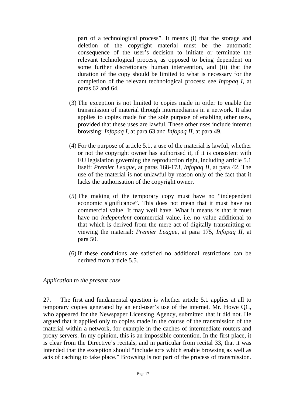part of a technological process". It means (i) that the storage and deletion of the copyright material must be the automatic consequence of the user's decision to initiate or terminate the relevant technological process, as opposed to being dependent on some further discretionary human intervention, and (ii) that the duration of the copy should be limited to what is necessary for the completion of the relevant technological process: see *Infopaq I*, at paras 62 and 64.

- (3) The exception is not limited to copies made in order to enable the transmission of material through intermediaries in a network. It also applies to copies made for the sole purpose of enabling other uses, provided that these uses are lawful. These other uses include internet browsing: *Infopaq I*, at para 63 and *Infopaq II*, at para 49.
- (4) For the purpose of article 5.1, a use of the material is lawful, whether or not the copyright owner has authorised it, if it is consistent with EU legislation governing the reproduction right, including article 5.1 itself: *Premier League*, at paras 168-173, *Infopaq II*, at para 42. The use of the material is not unlawful by reason only of the fact that it lacks the authorisation of the copyright owner.
- (5) The making of the temporary copy must have no "independent economic significance". This does not mean that it must have no commercial value. It may well have. What it means is that it must have no *independent* commercial value, i.e. no value additional to that which is derived from the mere act of digitally transmitting or viewing the material: *Premier League*, at para 175, *Infopaq II*, at para 50.
- (6) If these conditions are satisfied no additional restrictions can be derived from article 5.5.

*Application to the present case* 

27. The first and fundamental question is whether article 5.1 applies at all to temporary copies generated by an end-user's use of the internet. Mr. Howe QC, who appeared for the Newspaper Licensing Agency, submitted that it did not. He argued that it applied only to copies made in the course of the transmission of the material within a network, for example in the caches of intermediate routers and proxy servers. In my opinion, this is an impossible contention. In the first place, it is clear from the Directive's recitals, and in particular from recital 33, that it was intended that the exception should "include acts which enable browsing as well as acts of caching to take place." Browsing is not part of the process of transmission.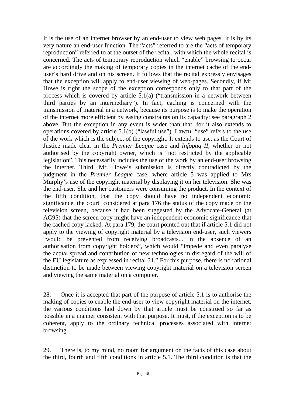It is the use of an internet browser by an end-user to view web pages. It is by its very nature an end-user function. The "acts" referred to are the "acts of temporary reproduction" referred to at the outset of the recital, with which the whole recital is concerned. The acts of temporary reproduction which "enable" browsing to occur are accordingly the making of temporary copies in the internet cache of the enduser's hard drive and on his screen. It follows that the recital expressly envisages that the exception will apply to end-user viewing of web-pages. Secondly, if Mr Howe is right the scope of the exception corresponds only to that part of the process which is covered by article 5.1(a) ("transmission in a network between third parties by an intermediary"). In fact, caching is concerned with the transmission of material in a network, because its purpose is to make the operation of the internet more efficient by easing constraints on its capacity: see paragraph 2 above. But the exception in any event is wider than that, for it also extends to operations covered by article 5.1(b) ("lawful use"). Lawful "use" refers to the use of the work which is the subject of the copyright. It extends to use, as the Court of Justice made clear in the *Premier League* case and *Infopaq II*, whether or not authorised by the copyright owner, which is "not restricted by the applicable legislation". This necessarily includes the use of the work by an end-user browsing the internet. Third, Mr. Howe's submission is directly contradicted by the judgment in the *Premier League* case, where article 5 was applied to Mrs Murphy's use of the copyright material by displaying it on her television. She was the end-user. She and her customers were consuming the product. In the context of the fifth condition, that the copy should have no independent economic significance, the court considered at para 176 the status of the copy made on the television screen, because it had been suggested by the Advocate-General (at AG95) that the screen copy might have an independent economic significance that the cached copy lacked. At para 179, the court pointed out that if article 5.1 did not apply to the viewing of copyright material by a television end-user, such viewers "would be prevented from receiving broadcasts... in the absence of an authorisation from copyright holders", which would "impede and even paralyse the actual spread and contribution of new technologies in disregard of the will of the EU legislature as expressed in recital 31." For this purpose, there is no rational distinction to be made between viewing copyright material on a television screen and viewing the same material on a computer.

28. Once it is accepted that part of the purpose of article 5.1 is to authorise the making of copies to enable the end-user to view copyright material on the internet, the various conditions laid down by that article must be construed so far as possible in a manner consistent with that purpose. It must, if the exception is to be coherent, apply to the ordinary technical processes associated with internet browsing.

29. There is, to my mind, no room for argument on the facts of this case about the third, fourth and fifth conditions in article 5.1. The third condition is that the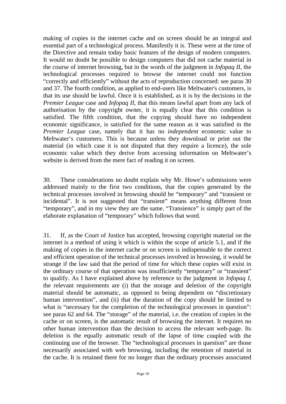making of copies in the internet cache and on screen should be an integral and essential part of a technological process. Manifestly it is. These were at the time of the Directive and remain today basic features of the design of modern computers. It would no doubt be possible to design computers that did not cache material in the course of internet browsing, but in the words of the judgment in *Infopaq II*, the technological processes required to browse the internet could not function "correctly and efficiently" without the acts of reproduction concerned: see paras 30 and 37. The fourth condition, as applied to end-users like Meltwater's customers, is that its use should be lawful. Once it is established, as it is by the decisions in the *Premier League* case and *Infopaq II*, that this means lawful apart from any lack of authorisation by the copyright owner, it is equally clear that this condition is satisfied. The fifth condition, that the copying should have no independent economic significance, is satisfied for the same reason as it was satisfied in the *Premier League* case, namely that it has no *independent* economic value to Meltwater's customers. This is because unless they download or print out the material (in which case it is not disputed that they require a licence), the sole economic value which they derive from accessing information on Meltwater's website is derived from the mere fact of reading it on screen.

30. These considerations no doubt explain why Mr. Howe's submissions were addressed mainly to the first two conditions, that the copies generated by the technical processes involved in browsing should be "temporary" and "transient or incidental". It is not suggested that "transient" means anything different from "temporary", and in my view they are the same. "Transience" is simply part of the elaborate explanation of "temporary" which follows that word.

31. If, as the Court of Justice has accepted, browsing copyright material on the internet is a method of using it which is within the scope of article 5.1, and if the making of copies in the internet cache or on screen is indispensable to the correct and efficient operation of the technical processes involved in browsing, it would be strange if the law said that the period of time for which these copies will exist in the ordinary course of that operation was insufficiently "temporary" or "transient" to qualify. As I have explained above by reference to the judgment in *Infopaq I*, the relevant requirements are (i) that the storage and deletion of the copyright material should be automatic, as opposed to being dependent on "discretionary human intervention", and (ii) that the duration of the copy should be limited to what is "necessary for the completion of the technological processes in question": see paras 62 and 64. The "storage" of the material, i.e. the creation of copies in the cache or on screen, is the automatic result of browsing the internet. It requires no other human intervention than the decision to access the relevant web-page. Its deletion is the equally automatic result of the lapse of time coupled with the continuing use of the browser. The "technological processes in question" are those necessarily associated with web browsing, including the retention of material in the cache. It is retained there for no longer than the ordinary processes associated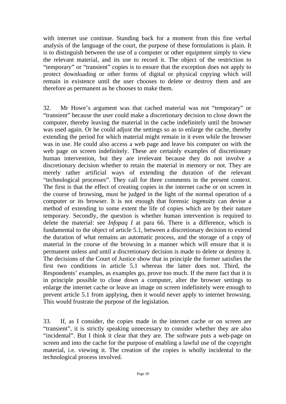with internet use continue. Standing back for a moment from this fine verbal analysis of the language of the court, the purpose of these formulations is plain. It is to distinguish between the use of a computer or other equipment simply to view the relevant material, and its use to record it. The object of the restriction to "temporary" or "transient" copies is to ensure that the exception does not apply to protect downloading or other forms of digital or physical copying which will remain in existence until the user chooses to delete or destroy them and are therefore as permanent as he chooses to make them.

32. Mr Howe's argument was that cached material was not "temporary" or "transient" because the user could make a discretionary decision to close down the computer, thereby leaving the material in the cache indefinitely until the browser was used again. Or he could adjust the settings so as to enlarge the cache, thereby extending the period for which material might remain in it even while the browser was in use. He could also access a web page and leave his computer on with the web page on screen indefinitely. These are certainly examples of discretionary human intervention, but they are irrelevant because they do not involve a discretionary decision whether to retain the material in memory or not. They are merely rather artificial ways of extending the duration of the relevant "technological processes". They call for three comments in the present context. The first is that the effect of creating copies in the internet cache or on screen in the course of browsing, must be judged in the light of the normal operation of a computer or its browser. It is not enough that forensic ingenuity can devise a method of extending to some extent the life of copies which are by their nature temporary. Secondly, the question is whether human intervention is required to delete the material: see *Infopaq I* at para 66. There is a difference, which is fundamental to the object of article 5.1, between a discretionary decision to extend the duration of what remains an automatic process, and the storage of a copy of material in the course of the browsing in a manner which will ensure that it is permanent unless and until a discretionary decision is made to delete or destroy it. The decisions of the Court of Justice show that in principle the former satisfies the first two conditions in article 5.1 whereas the latter does not. Third, the Respondents' examples, as examples go, prove too much. If the mere fact that it is in principle possible to close down a computer, alter the browser settings to enlarge the internet cache or leave an image on screen indefinitely were enough to prevent article 5.1 from applying, then it would never apply to internet browsing. This would frustrate the purpose of the legislation.

33. If, as I consider, the copies made in the internet cache or on screen are "transient", it is strictly speaking unnecessary to consider whether they are also "incidental". But I think it clear that they are. The software puts a web-page on screen and into the cache for the purpose of enabling a lawful use of the copyright material, i.e. viewing it. The creation of the copies is wholly incidental to the technological process involved.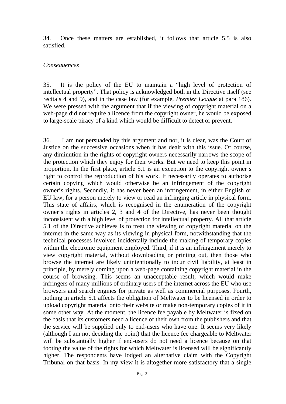34. Once these matters are established, it follows that article 5.5 is also satisfied.

#### *Consequences*

35. It is the policy of the EU to maintain a "high level of protection of intellectual property". That policy is acknowledged both in the Directive itself (see recitals 4 and 9), and in the case law (for example, *Premier League* at para 186). We were pressed with the argument that if the viewing of copyright material on a web-page did not require a licence from the copyright owner, he would be exposed to large-scale piracy of a kind which would be difficult to detect or prevent.

36. I am not persuaded by this argument and nor, it is clear, was the Court of Justice on the successive occasions when it has dealt with this issue. Of course, any diminution in the rights of copyright owners necessarily narrows the scope of the protection which they enjoy for their works. But we need to keep this point in proportion. In the first place, article 5.1 is an exception to the copyright owner's right to control the reproduction of his work. It necessarily operates to authorise certain copying which would otherwise be an infringement of the copyright owner's rights. Secondly, it has never been an infringement, in either English or EU law, for a person merely to view or read an infringing article in physical form. This state of affairs, which is recognised in the enumeration of the copyright owner's rights in articles 2, 3 and 4 of the Directive, has never been thought inconsistent with a high level of protection for intellectual property. All that article 5.1 of the Directive achieves is to treat the viewing of copyright material on the internet in the same way as its viewing in physical form, notwithstanding that the technical processes involved incidentally include the making of temporary copies within the electronic equipment employed. Third, if it is an infringement merely to view copyright material, without downloading or printing out, then those who browse the internet are likely unintentionally to incur civil liability, at least in principle, by merely coming upon a web-page containing copyright material in the course of browsing. This seems an unacceptable result, which would make infringers of many millions of ordinary users of the internet across the EU who use browsers and search engines for private as well as commercial purposes. Fourth, nothing in article 5.1 affects the obligation of Meltwater to be licensed in order to upload copyright material onto their website or make non-temporary copies of it in some other way. At the moment, the licence fee payable by Meltwater is fixed on the basis that its customers need a licence of their own from the publishers and that the service will be supplied only to end-users who have one. It seems very likely (although I am not deciding the point) that the licence fee chargeable to Meltwater will be substantially higher if end-users do not need a licence because on that footing the value of the rights for which Meltwater is licensed will be significantly higher. The respondents have lodged an alternative claim with the Copyright Tribunal on that basis. In my view it is altogether more satisfactory that a single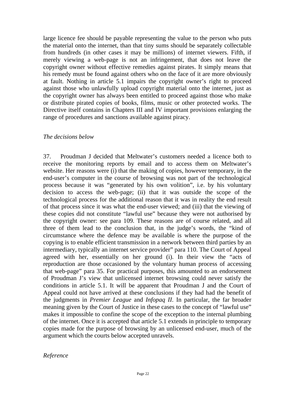large licence fee should be payable representing the value to the person who puts the material onto the internet, than that tiny sums should be separately collectable from hundreds (in other cases it may be millions) of internet viewers. Fifth, if merely viewing a web-page is not an infringement, that does not leave the copyright owner without effective remedies against pirates. It simply means that his remedy must be found against others who on the face of it are more obviously at fault. Nothing in article 5.1 impairs the copyright owner's right to proceed against those who unlawfully upload copyright material onto the internet, just as the copyright owner has always been entitled to proceed against those who make or distribute pirated copies of books, films, music or other protected works. The Directive itself contains in Chapters III and IV important provisions enlarging the range of procedures and sanctions available against piracy.

#### *The decisions below*

37. Proudman J decided that Meltwater's customers needed a licence both to receive the monitoring reports by email and to access them on Meltwater's website. Her reasons were (i) that the making of copies, however temporary, in the end-user's computer in the course of browsing was not part of the technological process because it was "generated by his own volition", i.e. by his voluntary decision to access the web-page; (ii) that it was outside the scope of the technological process for the additional reason that it was in reality the end result of that process since it was what the end-user viewed; and (iii) that the viewing of these copies did not constitute "lawful use" because they were not authorised by the copyright owner: see para 109. These reasons are of course related, and all three of them lead to the conclusion that, in the judge's words, the "kind of circumstance where the defence may be available is where the purpose of the copying is to enable efficient transmission in a network between third parties by an intermediary, typically an internet service provider" para 110. The Court of Appeal agreed with her, essentially on her ground (i). In their view the "acts of reproduction are those occasioned by the voluntary human process of accessing that web-page" para 35. For practical purposes, this amounted to an endorsement of Proudman J's view that unlicensed internet browsing could never satisfy the conditions in article 5.1. It will be apparent that Proudman J and the Court of Appeal could not have arrived at these conclusions if they had had the benefit of the judgments in *Premier League* and *Infopaq II*. In particular, the far broader meaning given by the Court of Justice in these cases to the concept of "lawful use" makes it impossible to confine the scope of the exception to the internal plumbing of the internet. Once it is accepted that article 5.1 extends in principle to temporary copies made for the purpose of browsing by an unlicensed end-user, much of the argument which the courts below accepted unravels.

#### *Reference*